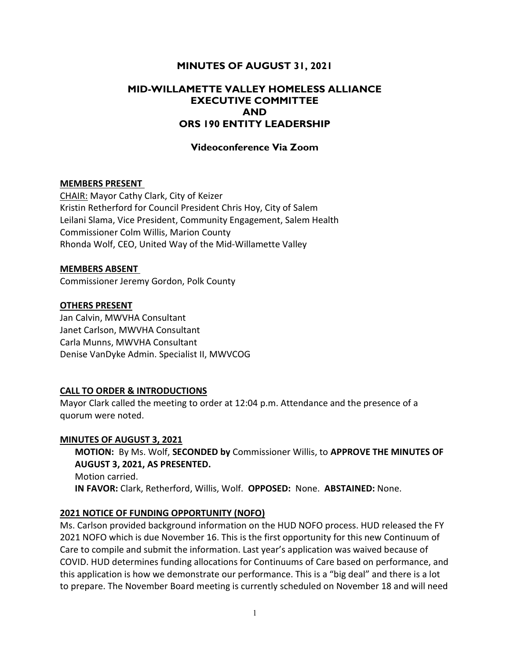# MINUTES OF AUGUST 31, 2021

# MID-WILLAMETTE VALLEY HOMELESS ALLIANCE EXECUTIVE COMMITTEE AND ORS 190 ENTITY LEADERSHIP

## Videoconference Via Zoom

### MEMBERS PRESENT

CHAIR: Mayor Cathy Clark, City of Keizer Kristin Retherford for Council President Chris Hoy, City of Salem Leilani Slama, Vice President, Community Engagement, Salem Health Commissioner Colm Willis, Marion County Rhonda Wolf, CEO, United Way of the Mid-Willamette Valley

#### MEMBERS ABSENT

Commissioner Jeremy Gordon, Polk County

### OTHERS PRESENT

Jan Calvin, MWVHA Consultant Janet Carlson, MWVHA Consultant Carla Munns, MWVHA Consultant Denise VanDyke Admin. Specialist II, MWVCOG

### CALL TO ORDER & INTRODUCTIONS

Mayor Clark called the meeting to order at 12:04 p.m. Attendance and the presence of a quorum were noted.

#### MINUTES OF AUGUST 3, 2021

MOTION: By Ms. Wolf, SECONDED by Commissioner Willis, to APPROVE THE MINUTES OF AUGUST 3, 2021, AS PRESENTED. Motion carried. IN FAVOR: Clark, Retherford, Willis, Wolf. OPPOSED: None. ABSTAINED: None.

### 2021 NOTICE OF FUNDING OPPORTUNITY (NOFO)

Ms. Carlson provided background information on the HUD NOFO process. HUD released the FY 2021 NOFO which is due November 16. This is the first opportunity for this new Continuum of Care to compile and submit the information. Last year's application was waived because of COVID. HUD determines funding allocations for Continuums of Care based on performance, and this application is how we demonstrate our performance. This is a "big deal" and there is a lot to prepare. The November Board meeting is currently scheduled on November 18 and will need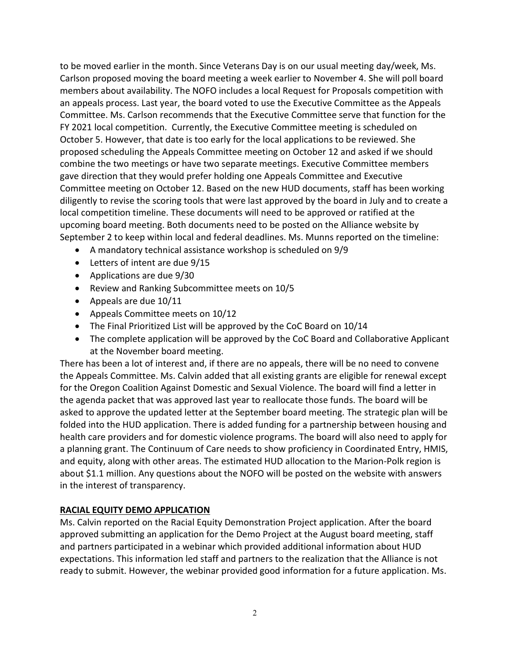to be moved earlier in the month. Since Veterans Day is on our usual meeting day/week, Ms. Carlson proposed moving the board meeting a week earlier to November 4. She will poll board members about availability. The NOFO includes a local Request for Proposals competition with an appeals process. Last year, the board voted to use the Executive Committee as the Appeals Committee. Ms. Carlson recommends that the Executive Committee serve that function for the FY 2021 local competition. Currently, the Executive Committee meeting is scheduled on October 5. However, that date is too early for the local applications to be reviewed. She proposed scheduling the Appeals Committee meeting on October 12 and asked if we should combine the two meetings or have two separate meetings. Executive Committee members gave direction that they would prefer holding one Appeals Committee and Executive Committee meeting on October 12. Based on the new HUD documents, staff has been working diligently to revise the scoring tools that were last approved by the board in July and to create a local competition timeline. These documents will need to be approved or ratified at the upcoming board meeting. Both documents need to be posted on the Alliance website by September 2 to keep within local and federal deadlines. Ms. Munns reported on the timeline:

- A mandatory technical assistance workshop is scheduled on 9/9
- Letters of intent are due 9/15
- Applications are due 9/30
- Review and Ranking Subcommittee meets on 10/5
- Appeals are due 10/11
- Appeals Committee meets on 10/12
- The Final Prioritized List will be approved by the CoC Board on 10/14
- The complete application will be approved by the CoC Board and Collaborative Applicant at the November board meeting.

There has been a lot of interest and, if there are no appeals, there will be no need to convene the Appeals Committee. Ms. Calvin added that all existing grants are eligible for renewal except for the Oregon Coalition Against Domestic and Sexual Violence. The board will find a letter in the agenda packet that was approved last year to reallocate those funds. The board will be asked to approve the updated letter at the September board meeting. The strategic plan will be folded into the HUD application. There is added funding for a partnership between housing and health care providers and for domestic violence programs. The board will also need to apply for a planning grant. The Continuum of Care needs to show proficiency in Coordinated Entry, HMIS, and equity, along with other areas. The estimated HUD allocation to the Marion-Polk region is about \$1.1 million. Any questions about the NOFO will be posted on the website with answers in the interest of transparency.

## RACIAL EQUITY DEMO APPLICATION

Ms. Calvin reported on the Racial Equity Demonstration Project application. After the board approved submitting an application for the Demo Project at the August board meeting, staff and partners participated in a webinar which provided additional information about HUD expectations. This information led staff and partners to the realization that the Alliance is not ready to submit. However, the webinar provided good information for a future application. Ms.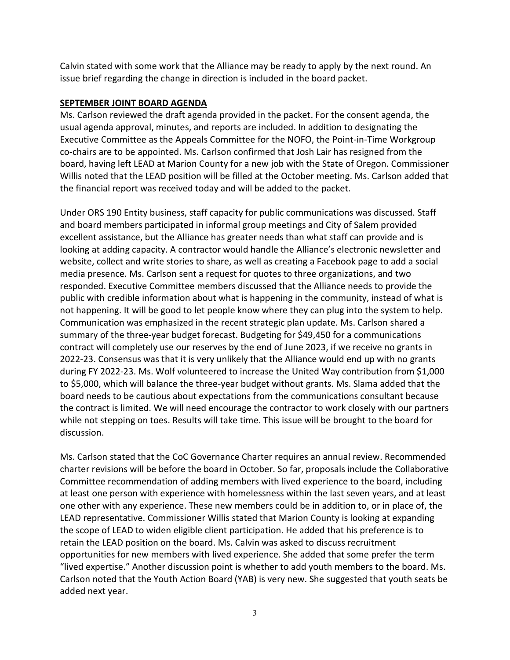Calvin stated with some work that the Alliance may be ready to apply by the next round. An issue brief regarding the change in direction is included in the board packet.

## SEPTEMBER JOINT BOARD AGENDA

Ms. Carlson reviewed the draft agenda provided in the packet. For the consent agenda, the usual agenda approval, minutes, and reports are included. In addition to designating the Executive Committee as the Appeals Committee for the NOFO, the Point-in-Time Workgroup co-chairs are to be appointed. Ms. Carlson confirmed that Josh Lair has resigned from the board, having left LEAD at Marion County for a new job with the State of Oregon. Commissioner Willis noted that the LEAD position will be filled at the October meeting. Ms. Carlson added that the financial report was received today and will be added to the packet.

Under ORS 190 Entity business, staff capacity for public communications was discussed. Staff and board members participated in informal group meetings and City of Salem provided excellent assistance, but the Alliance has greater needs than what staff can provide and is looking at adding capacity. A contractor would handle the Alliance's electronic newsletter and website, collect and write stories to share, as well as creating a Facebook page to add a social media presence. Ms. Carlson sent a request for quotes to three organizations, and two responded. Executive Committee members discussed that the Alliance needs to provide the public with credible information about what is happening in the community, instead of what is not happening. It will be good to let people know where they can plug into the system to help. Communication was emphasized in the recent strategic plan update. Ms. Carlson shared a summary of the three-year budget forecast. Budgeting for \$49,450 for a communications contract will completely use our reserves by the end of June 2023, if we receive no grants in 2022-23. Consensus was that it is very unlikely that the Alliance would end up with no grants during FY 2022-23. Ms. Wolf volunteered to increase the United Way contribution from \$1,000 to \$5,000, which will balance the three-year budget without grants. Ms. Slama added that the board needs to be cautious about expectations from the communications consultant because the contract is limited. We will need encourage the contractor to work closely with our partners while not stepping on toes. Results will take time. This issue will be brought to the board for discussion.

Ms. Carlson stated that the CoC Governance Charter requires an annual review. Recommended charter revisions will be before the board in October. So far, proposals include the Collaborative Committee recommendation of adding members with lived experience to the board, including at least one person with experience with homelessness within the last seven years, and at least one other with any experience. These new members could be in addition to, or in place of, the LEAD representative. Commissioner Willis stated that Marion County is looking at expanding the scope of LEAD to widen eligible client participation. He added that his preference is to retain the LEAD position on the board. Ms. Calvin was asked to discuss recruitment opportunities for new members with lived experience. She added that some prefer the term "lived expertise." Another discussion point is whether to add youth members to the board. Ms. Carlson noted that the Youth Action Board (YAB) is very new. She suggested that youth seats be added next year.